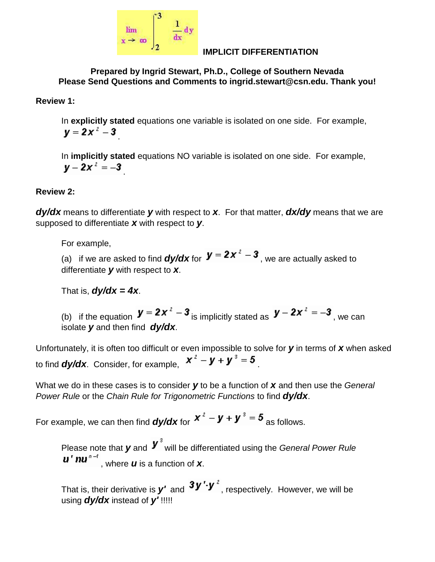

### **IMPLICIT DIFFERENTIATION**

**Prepared by Ingrid Stewart, Ph.D., College of Southern Nevada Please Send Questions and Comments to ingrid.stewart@csn.edu. Thank you!**

**Review 1:**

In **explicitly stated** equations one variable is isolated on one side. For example,  $y = 2x^2 - 3$ 

In **implicitly stated** equations NO variable is isolated on one side. For example,  $y - 2x^2 = -3$ 

## **Review 2:**

*dy/dx* means to differentiate *y* with respect to *x*. For that matter, *dx/dy* means that we are supposed to differentiate *x* with respect to *y*.

For example,

(a) if we are asked to find  $dy/dx$  for  $y = 2x^2 - 3$ , we are actually asked to differentiate *y* with respect to *x*.

That is,  $dy/dx = 4x$ .

(b) if the equation  $\boldsymbol{y} = 2x^2 - 3$  is implicitly stated as  $\boldsymbol{y} - 2x^2 = -3$ , we can isolate *y* and then find *dy/dx*.

Unfortunately, it is often too difficult or even impossible to solve for *y* in terms of *x* when asked to find **dy/dx**. Consider, for example,  $x^2 - y + y^3 = 5$ 

What we do in these cases is to consider *y* to be a function of *x* and then use the *General Power Rule* or the *Chain Rule for Trigonometric Functions* to find *dy/dx*.

For example, we can then find **dy/dx** for  $x^2 - y + y^3 = 5$  as follows.

Please note that **y** and **V**<sup>3</sup> will be differentiated using the *General Power Rule*  $\boldsymbol{u}^{\mathrm{T}} \boldsymbol{n} \boldsymbol{u}^{\mathrm{T}-1}$ , where **u** is a function of **x**.

That is, their derivative is  $y'$  and  $y'$ <sup>'</sup>, respectively. However, we will be using *dy/dx* instead of *y'* !!!!!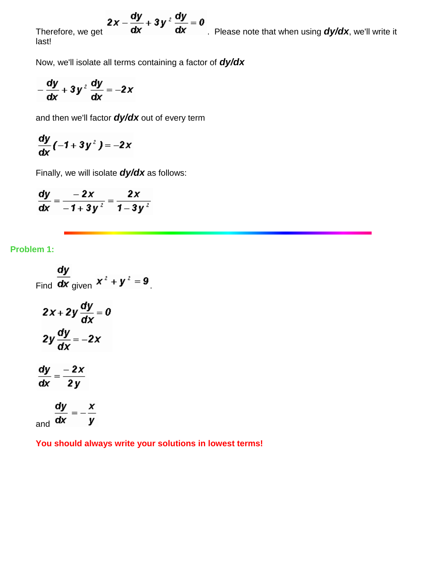$$
2x - \frac{dy}{dx} + 3y^2 \frac{dy}{dx} = 0
$$

0 Therefore, we get  $\overrightarrow{dx}$   $\frac{dx}{dx}$  Please note that when using  $\frac{dy}{dx}$ , we'll write it last!

Now, we'll isolate all terms containing a factor of *dy/dx*

$$
-\frac{dy}{dx} + 3y^2 \frac{dy}{dx} = -2x
$$

and then we'll factor *dy/dx* out of every term

$$
\frac{dy}{dx}(-1+3y^2)=-2x
$$

Finally, we will isolate *dy/dx* as follows:

$$
\frac{\mathrm{d}y}{\mathrm{d}x} = \frac{-2x}{-1+3y^2} = \frac{2x}{1-3y^2}
$$

### **Problem 1:**

and  $\overline{dx}$ 

Find 
$$
\frac{dy}{dx}
$$
 given  $x^2 + y^2 = 9$ .  
\n $2x + 2y \frac{dy}{dx} = 0$   
\n $2y \frac{dy}{dx} = -2x$   
\n $\frac{dy}{dx} = \frac{-2x}{2y}$   
\n $\frac{dy}{dx} = -\frac{x}{y}$ 

 $= -$ 

**You should always write your solutions in lowest terms!**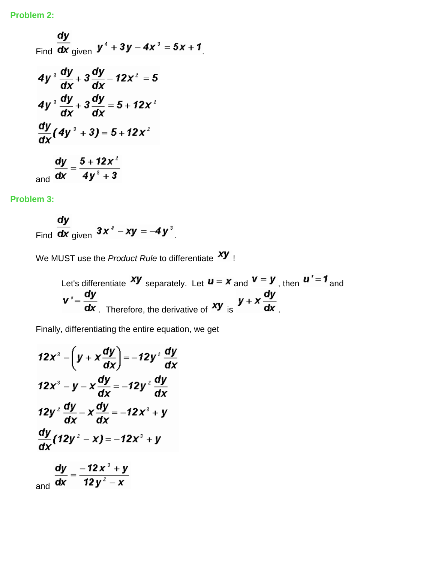Find 
$$
\frac{dy}{dx}
$$
 given 
$$
y^4 + 3y - 4x^3 = 5x + 1
$$

$$
4y^3 \frac{dy}{dx} + 3 \frac{dy}{dx} - 12x^2 = 5
$$

$$
4y^3 \frac{dy}{dx} + 3 \frac{dy}{dx} = 5 + 12x^2
$$

$$
\frac{dy}{dx}(4y^3 + 3) = 5 + 12x^2
$$

$$
\frac{dy}{dx} = \frac{5 + 12x^2}{4y^3 + 3}
$$

## **Problem 3:**

Find  $\frac{dy}{dx}$  given  $3x^4 - xy = -4y^3$ .

We MUST use the *Product Rule* to differentiate **XY** !

Let's differentiate 
$$
xy
$$
 separately. Let  $u = x$  and  $v = y$ , then  $u' = 1$  and  
\n $v' = \frac{dy}{dx}$ . Therefore, the derivative of  $xy$  is  $y + x \frac{dy}{dx}$ .

Finally, differentiating the entire equation, we get

$$
12x^3 - \left(y + x\frac{dy}{dx}\right) = -12y^2 \frac{dy}{dx}
$$
  

$$
12x^3 - y - x\frac{dy}{dx} = -12y^2 \frac{dy}{dx}
$$
  

$$
12y^2 \frac{dy}{dx} - x\frac{dy}{dx} = -12x^3 + y
$$
  

$$
\frac{dy}{dx}(12y^2 - x) = -12x^3 + y
$$
  

$$
\frac{dy}{dx} = -12x^3 + y
$$

and  $\overline{dx} = \overline{12y^2 - x}$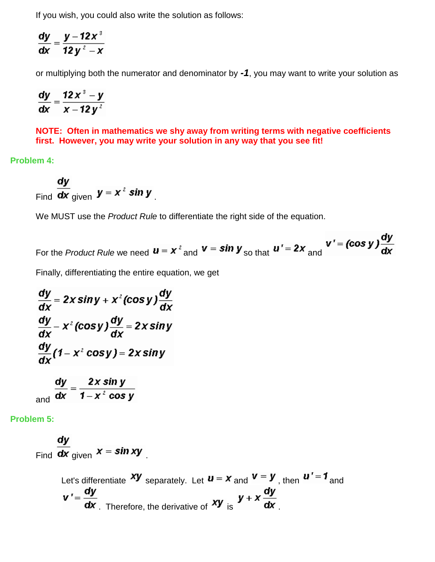If you wish, you could also write the solution as follows:

$$
\frac{dy}{dx} = \frac{y - 12x^3}{12y^2 - x}
$$

or multiplying both the numerator and denominator by *-1*, you may want to write your solution as

$$
\frac{dy}{dx} = \frac{12x^3 - y}{x - 12y^2}
$$

**NOTE: Often in mathematics we shy away from writing terms with negative coefficients first. However, you may write your solution in any way that you see fit!**

**Problem 4:**

Find  $\frac{dy}{dx}$  given  $y = x^2 \sin y$ .

We MUST use the *Product Rule* to differentiate the right side of the equation.

For the Product Rule we need 
$$
u = x^2
$$
 and  $v = \sin y$  so that  $u' = 2x$  and  $v' = (\cos y) \frac{dy}{dx}$ 

dv

Finally, differentiating the entire equation, we get

$$
\frac{dy}{dx} = 2x \sin y + x^{2} (\cos y) \frac{dy}{dx}
$$
\n
$$
\frac{dy}{dx} - x^{2} (\cos y) \frac{dy}{dx} = 2x \sin y
$$
\n
$$
\frac{dy}{dx} (1 - x^{2} \cos y) = 2x \sin y
$$
\n
$$
\frac{dy}{dx} = 2x \sin y
$$

and  $\overrightarrow{\mathbf{dx}} = \frac{\overrightarrow{dx} - \overrightarrow{y}}{1 - x^2 \cos y}$ 

**Problem 5:**

Find  $\frac{dy}{dx}$  given  $x = \sin xy$ 

Let's differentiate 
$$
xy
$$
 separately. Let  $u = x$  and  $v = y$ , then  $u' = 1$  and  
\n $v' = \frac{dy}{dx}$ . Therefore, the derivative of  $xy$  is  $y + x \frac{dy}{dx}$ .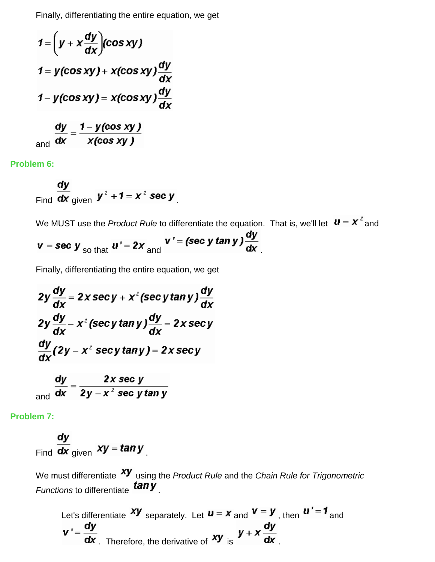Finally, differentiating the entire equation, we get

$$
1 = \left(y + x \frac{dy}{dx}\right)(\cos xy)
$$
  
\n
$$
1 = y(\cos xy) + x(\cos xy) \frac{dy}{dx}
$$
  
\n
$$
1 - y(\cos xy) = x(\cos xy) \frac{dy}{dx}
$$
  
\n
$$
\frac{dy}{dx} = \frac{1 - y(\cos xy)}{x}
$$

and  $\overline{dx}$  $x$ (cos xy )

**Problem 6:**

Find 
$$
\frac{dy}{dx}
$$
 given  $y^2 + 1 = x^2$  sec y

We MUST use the *Product Rule* to differentiate the equation. That is, we'll let  $\mathbf{u} = \mathbf{x}^2$  and

 $v = \sec y$  so that  $u' = 2x$  and  $v' = (\sec y \tan y) \frac{dy}{dx}$ 

Finally, differentiating the entire equation, we get

$$
2y \frac{dy}{dx} = 2x \sec y + x^{2} (\sec y \tan y) \frac{dy}{dx}
$$
  

$$
2y \frac{dy}{dx} - x^{2} (\sec y \tan y) \frac{dy}{dx} = 2x \sec y
$$
  

$$
\frac{dy}{dx} (2y - x^{2} \sec y \tan y) = 2x \sec y
$$
  

$$
\frac{dy}{dx} = \frac{2x \sec y}{2y - x^{2} \sec y \tan y}
$$

**Problem 7:**

Find 
$$
\frac{dy}{dx}
$$
 given  $xy = \tan y$ 

We must differentiate **XY** using the *Product Rule* and the *Chain Rule for Trigonometric Functions* to differentiate **tany** 

Let's differentiate 
$$
xy
$$
 separately. Let  $u = x$  and  $v = y$ , then  $u' = 1$  and  
\n $v' = \frac{dy}{dx}$ . Therefore, the derivative of  $xy$  is  $y + x \frac{dy}{dx}$ .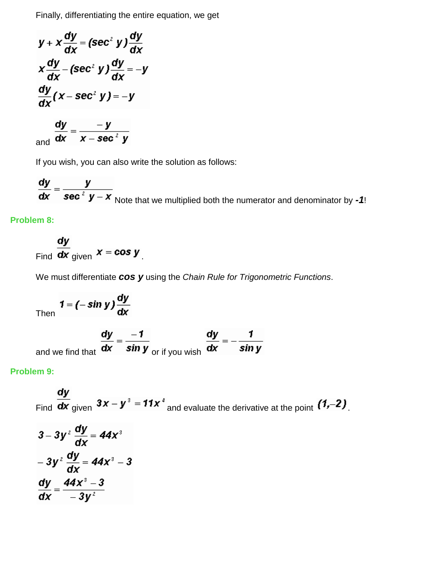Finally, differentiating the entire equation, we get

$$
y + x \frac{dy}{dx} = (\sec^2 y) \frac{dy}{dx}
$$
  

$$
x \frac{dy}{dx} - (\sec^2 y) \frac{dy}{dx} = -y
$$
  

$$
\frac{dy}{dx} (x - \sec^2 y) = -y
$$
  

$$
\frac{dy}{dx} = \frac{-y}{x - \sec^2 y}
$$

If you wish, you can also write the solution as follows:

 $\frac{dy}{dx} = \frac{y}{\sec^2 y - x}$  Note that we multiplied both the numerator and denominator by *-1*!

## **Problem 8:**

Find 
$$
\frac{dy}{dx}
$$
 given  $x = \cos y$ 

We must differentiate *cos y* using the *Chain Rule for Trigonometric Functions*.

Then 
$$
1 = (-\sin y) \frac{dy}{dx}
$$

and we find that 
$$
\frac{dy}{dx} = \frac{-1}{\sin y}
$$
 or if you wish  $\frac{dy}{dx} = -\frac{1}{\sin y}$ 

#### **Problem 9:**

Find  $\frac{dy}{dx}$  given  $3x - y^3 = 11x^4$  and evaluate the derivative at the point  $(1,-2)$ .

$$
3-3y^2\frac{dy}{dx} = 44x^3
$$

$$
-3y^2\frac{dy}{dx} = 44x^3 - 3
$$

$$
\frac{dy}{dx} = \frac{44x^3 - 3}{-3y^2}
$$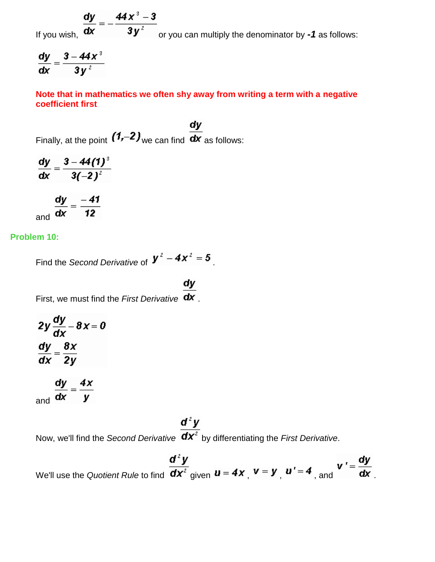If you wish,  $\frac{dy}{dx} = -\frac{44x^3 - 3}{3y^2}$  or you can multiply the denominator by *-1* as follows:

$$
\frac{dy}{dx} = \frac{3-44x^3}{3y^2}
$$

**Note that in mathematics we often shy away from writing a term with a negative coefficient first**

dy Finally, at the point  $(1,-2)$  we can find  $\overline{dx}$  as follows:

 $\frac{dy}{dx} = \frac{3 - 44(1)^3}{3(-2)^2}$  $\frac{dy}{dx} = \frac{-41}{12}$ 

**Problem 10:**

Find the *Second Derivative* of  $y^2 - 4x^2 = 5$ .

First, we must find the *First Derivative* **dx**.

$$
2y\frac{dy}{dx} - 8x = 0
$$
  

$$
\frac{dy}{dx} = \frac{8x}{2y}
$$

$$
\frac{dy}{dx} = \frac{4x}{y}
$$

# $d^2y$

Now, we'll find the *Second Derivative*  $\overline{dx^2}$  by differentiating the *First Derivative*.

 $d^2y$ We'll use the *Quotient Rule* to find  $\frac{d\mathbf{x}^2}{d\mathbf{x}^2}$  given  $\mathbf{u} = 4\mathbf{x}$ ,  $\mathbf{v} = \mathbf{y}$ ,  $\mathbf{u}' = 4$ , and  $\mathbf{v}' = \frac{d\mathbf{y}}{d\mathbf{x}}$ .